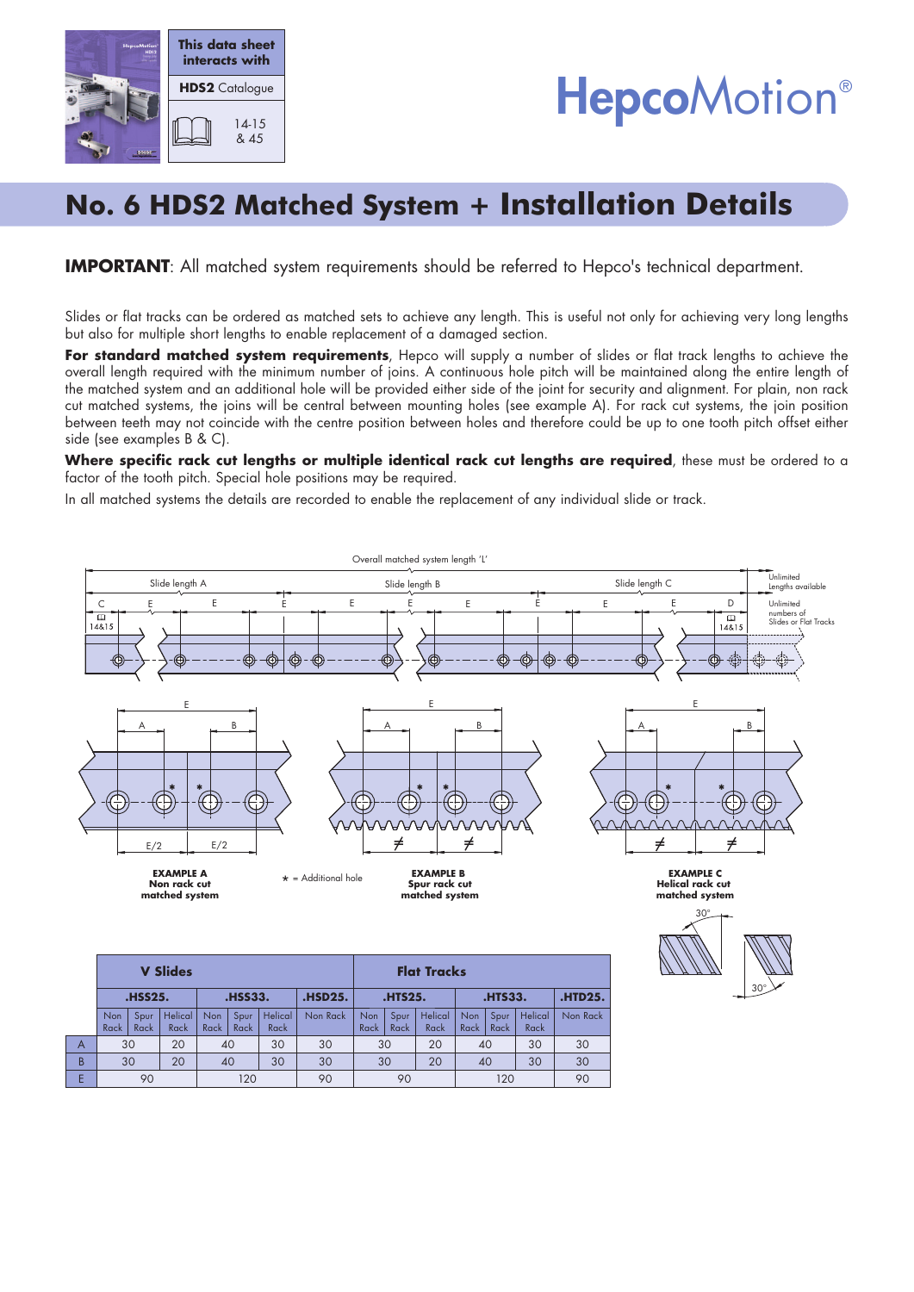



# **No. 6 HDS2 Matched System + Installation Details**

#### **IMPORTANT:** All matched system requirements should be referred to Hepco's technical department.

Slides or flat tracks can be ordered as matched sets to achieve any length. This is useful not only for achieving very long lengths but also for multiple short lengths to enable replacement of a damaged section.

For standard matched system requirements, Hepco will supply a number of slides or flat track lengths to achieve the overall length required with the minimum number of joins. A continuous hole pitch will be maintained along the entire length of the matched system and an additional hole will be provided either side of the joint for security and alignment. For plain, non rack cut matched systems, the joins will be central between mounting holes (see example A). For rack cut systems, the join position between teeth may not coincide with the centre position between holes and therefore could be up to one tooth pitch offset either side (see examples B & C).

Where specific rack cut lengths or multiple identical rack cut lengths are required, these must be ordered to a factor of the tooth pitch. Special hole positions may be required.

In all matched systems the details are recorded to enable the replacement of any individual slide or track.



|   | $\mathbf{v}$ direction |              |                 |                |              |                 |                | 1191 11956)    |              |                 |                |              |                 |                |
|---|------------------------|--------------|-----------------|----------------|--------------|-----------------|----------------|----------------|--------------|-----------------|----------------|--------------|-----------------|----------------|
|   | <b>.HSS25.</b>         |              |                 | <b>.HSS33.</b> |              |                 | <b>.HSD25.</b> | <b>.HTS25.</b> |              |                 | <b>.HTS33.</b> |              |                 | <b>.HTD25.</b> |
|   | Non<br>Rack            | Spur<br>Rack | Helical<br>Rack | Non<br>Rack    | Spur<br>Rack | Helical<br>Rack | Non Rack       | Non<br>Rack    | Spur<br>Rack | Helical<br>Rack | Non<br>Rack I  | Spur<br>Rack | Helical<br>Rack | Non Rack       |
| A | 30                     |              | 20              | 40             |              | 30              | 30             | 30             |              | 20              | 40             |              | 30              | 30             |
| B | 30                     |              | 20              | 40             |              | 30              | 30             | 30             |              | 20              | 40             |              | 30              | 30             |
|   |                        | 90           |                 | 120            |              |                 | 90             | 90             |              |                 | 120            |              |                 | 90             |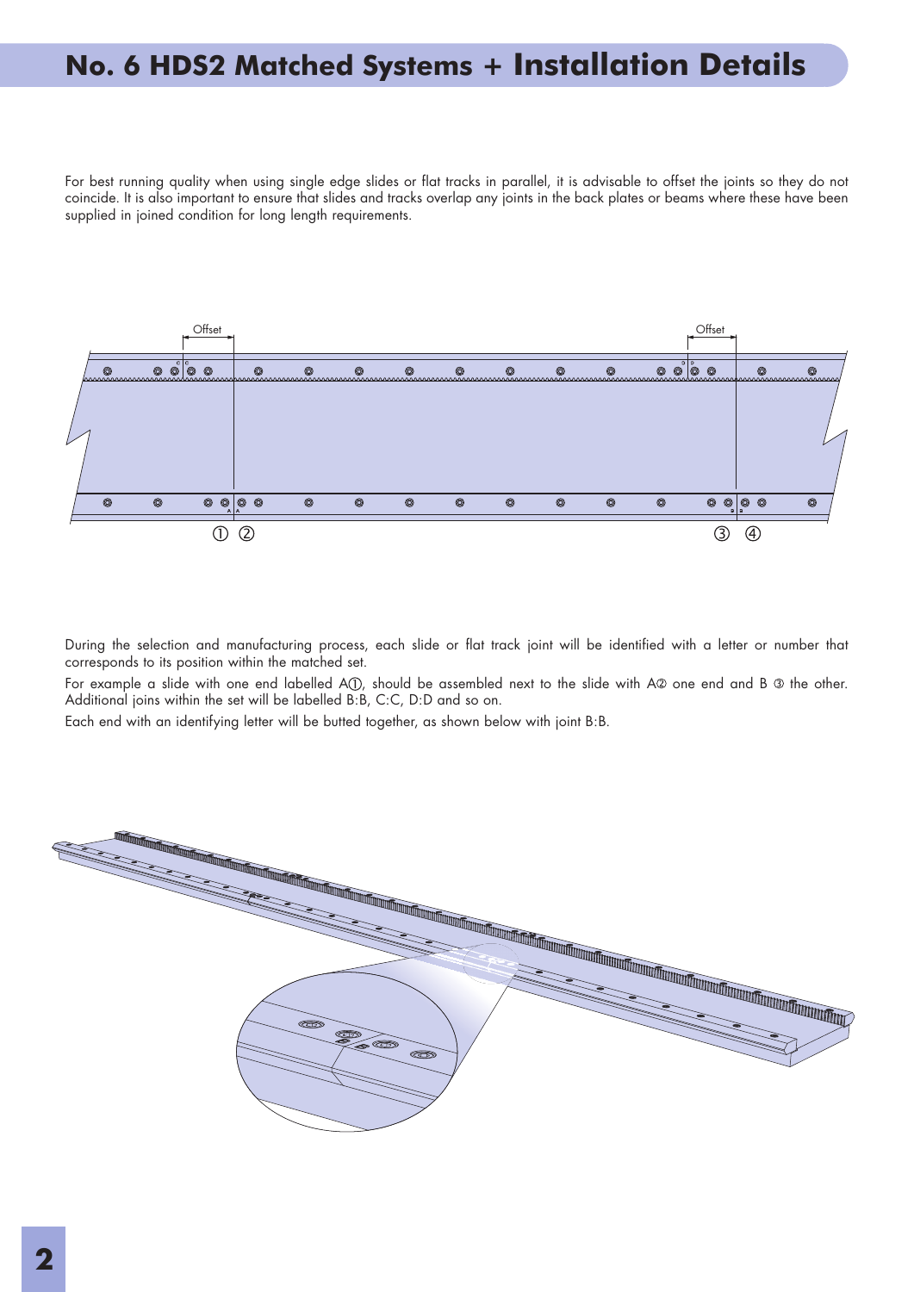### **No. 6 HDS2 Matched Systems + Installation Details**

For best running quality when using single edge slides or flat tracks in parallel, it is advisable to offset the joints so they do not coincide. It is also important to ensure that slides and tracks overlap any joints in the back plates or beams where these have been supplied in joined condition for long length requirements.



During the selection and manufacturing process, each slide or flat track joint will be identified with a letter or number that corresponds to its position within the matched set.

For example a slide with one end labelled A(1), should be assembled next to the slide with A2 one end and B <sup>3</sup> the other. Additional joins within the set will be labelled B:B, C:C, D:D and so on.

Each end with an identifying letter will be butted together, as shown below with joint B:B.

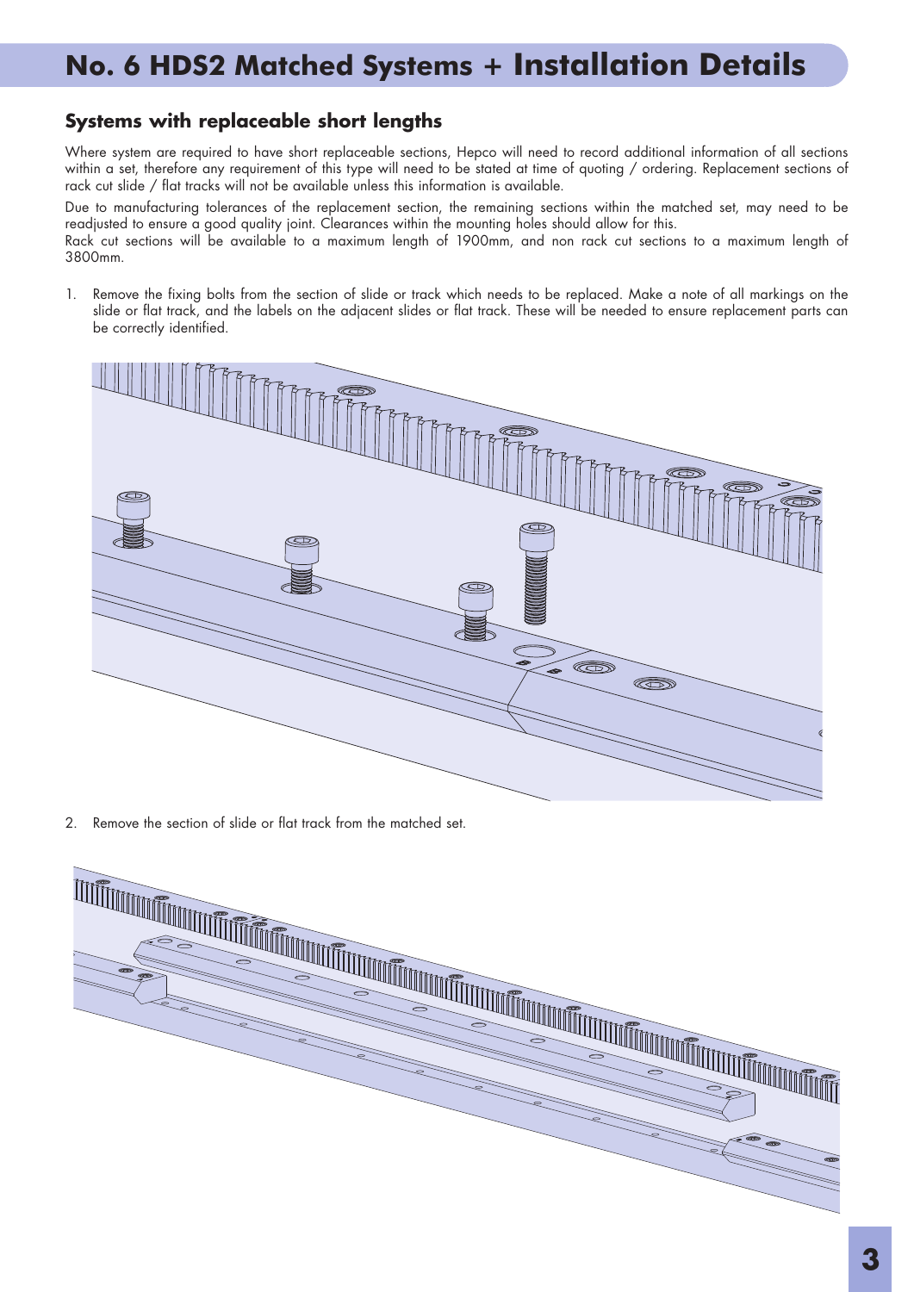# **No. 6 HDS2 Matched Systems + Installation Details**

#### **Systems with replaceable short lengths**

Where system are required to have short replaceable sections, Hepco will need to record additional information of all sections within a set, therefore any requirement of this type will need to be stated at time of quoting / ordering. Replacement sections of rack cut slide / flat tracks will not be available unless this information is available.

Due to manufacturing tolerances of the replacement section, the remaining sections within the matched set, may need to be readjusted to ensure a good quality joint. Clearances within the mounting holes should allow for this.

Rack cut sections will be available to a maximum length of 1900mm, and non rack cut sections to a maximum length of 3800mm.

1. Remove the fixing bolts from the section of slide or track which needs to be replaced. Make a note of all markings on the slide or flat track, and the labels on the adjacent slides or flat track. These will be needed to ensure replacement parts can be correctly identified.



2. Remove the section of slide or flat track from the matched set.

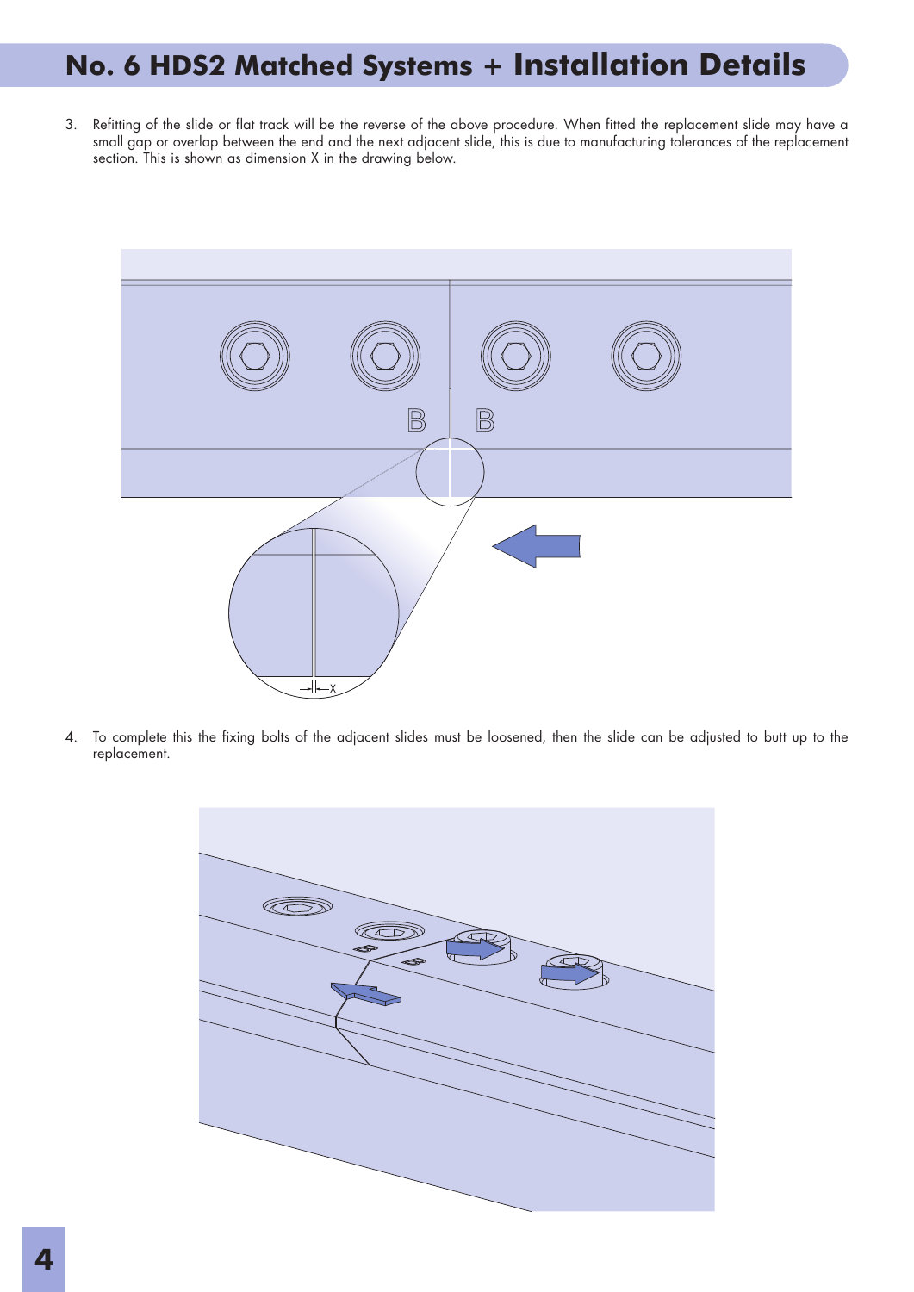# **No. 6 HDS2 Matched Systems + Installation Details**

3. Refitting of the slide or flat track will be the reverse of the above procedure. When fitted the replacement slide may have a small gap or overlap between the end and the next adjacent slide, this is due to manufacturing tolerances of the replacement section. This is shown as dimension X in the drawing below.



4. To complete this the fixing bolts of the adjacent slides must be loosened, then the slide can be adjusted to butt up to the replacement.